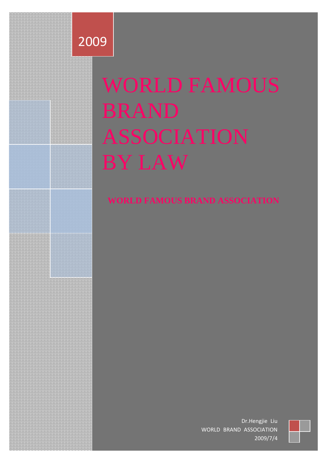

# WORLD FAMOUS BRAND ASSOCIATION BY LAW

## **WORLD FAMOUS BRAND ASSOCIATION**

Dr.Hengjie Liu WORLD BRAND ASSOCIATION 2009/7/4

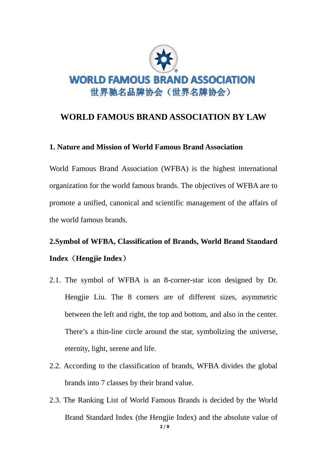

### **WORLD FAMOUS BRAND ASSOCIATION BY LAW**

#### **1. Nature and Mission of World Famous Brand Association**

World Famous Brand Association (WFBA) is the highest international organization for the world famous brands. The objectives of WFBA are to promote a unified, canonical and scientific management of the affairs of the world famous brands.

## **2.Symbol of WFBA, Classification of Brands, World Brand Standard Index**(**Hengjie Index**)

- 2.1. The symbol of WFBA is an 8-corner-star icon designed by Dr. Hengjie Liu. The 8 corners are of different sizes, asymmetric between the left and right, the top and bottom, and also in the center. There's a thin-line circle around the star, symbolizing the universe, eternity, light, serene and life.
- 2.2. According to the classification of brands, WFBA divides the global brands into 7 classes by their brand value.
- 2.3. The Ranking List of World Famous Brands is decided by the World Brand Standard Index (the Hengjie Index) and the absolute value of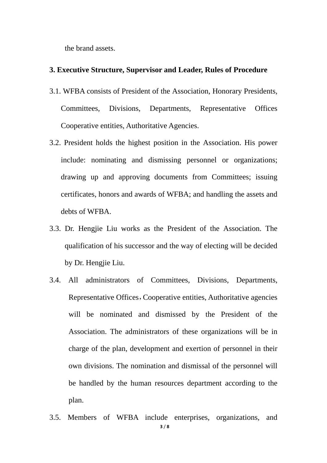the brand assets.

#### **3. Executive Structure, Supervisor and Leader, Rules of Procedure**

- 3.1. WFBA consists of President of the Association, Honorary Presidents, Committees, Divisions, Departments, Representative Offices Cooperative entities, Authoritative Agencies.
- 3.2. President holds the highest position in the Association. His power include: nominating and dismissing personnel or organizations; drawing up and approving documents from Committees; issuing certificates, honors and awards of WFBA; and handling the assets and debts of WFBA.
- 3.3. Dr. Hengjie Liu works as the President of the Association. The qualification of his successor and the way of electing will be decided by Dr. Hengjie Liu.
- 3.4. All administrators of Committees, Divisions, Departments, Representative Offices, Cooperative entities, Authoritative agencies will be nominated and dismissed by the President of the Association. The administrators of these organizations will be in charge of the plan, development and exertion of personnel in their own divisions. The nomination and dismissal of the personnel will be handled by the human resources department according to the plan.
- **3** / **8** 3.5. Members of WFBA include enterprises, organizations, and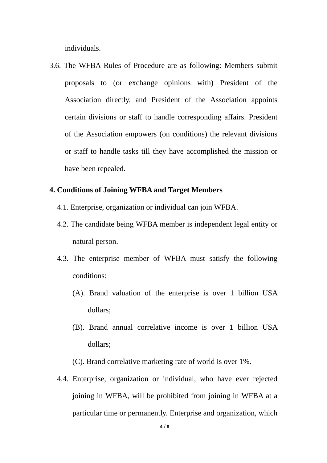individuals.

3.6. The WFBA Rules of Procedure are as following: Members submit proposals to (or exchange opinions with) President of the Association directly, and President of the Association appoints certain divisions or staff to handle corresponding affairs. President of the Association empowers (on conditions) the relevant divisions or staff to handle tasks till they have accomplished the mission or have been repealed.

#### **4. Conditions of Joining WFBA and Target Members**

- 4.1. Enterprise, organization or individual can join WFBA.
- 4.2. The candidate being WFBA member is independent legal entity or natural person.
- 4.3. The enterprise member of WFBA must satisfy the following conditions:
	- (A). Brand valuation of the enterprise is over 1 billion USA dollars;
	- (B). Brand annual correlative income is over 1 billion USA dollars;

(C). Brand correlative marketing rate of world is over 1%.

4.4. Enterprise, organization or individual, who have ever rejected joining in WFBA, will be prohibited from joining in WFBA at a particular time or permanently. Enterprise and organization, which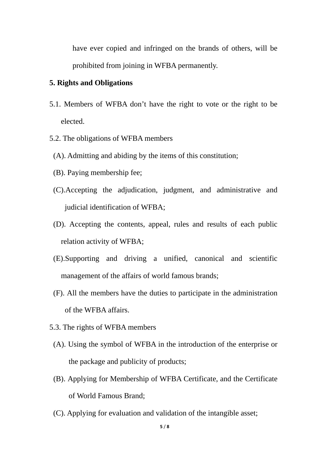have ever copied and infringed on the brands of others, will be prohibited from joining in WFBA permanently.

#### **5. Rights and Obligations**

- 5.1. Members of WFBA don't have the right to vote or the right to be elected.
- 5.2. The obligations of WFBA members
	- (A). Admitting and abiding by the items of this constitution;
	- (B). Paying membership fee;
	- (C).Accepting the adjudication, judgment, and administrative and judicial identification of WFBA;
	- (D). Accepting the contents, appeal, rules and results of each public relation activity of WFBA;
	- (E).Supporting and driving a unified, canonical and scientific management of the affairs of world famous brands;
- (F). All the members have the duties to participate in the administration of the WFBA affairs.
- 5.3. The rights of WFBA members
- (A). Using the symbol of WFBA in the introduction of the enterprise or the package and publicity of products;
- (B). Applying for Membership of WFBA Certificate, and the Certificate of World Famous Brand;
- (C). Applying for evaluation and validation of the intangible asset;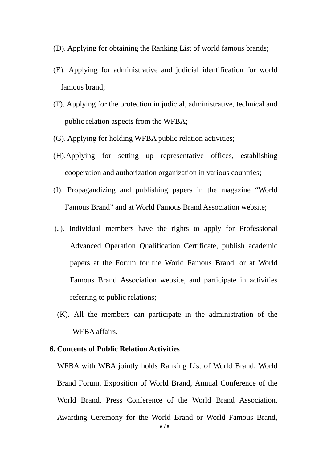- (D). Applying for obtaining the Ranking List of world famous brands;
- (E). Applying for administrative and judicial identification for world famous brand;
- (F). Applying for the protection in judicial, administrative, technical and public relation aspects from the WFBA;
- (G). Applying for holding WFBA public relation activities;
- (H).Applying for setting up representative offices, establishing cooperation and authorization organization in various countries;
- (I). Propagandizing and publishing papers in the magazine "World Famous Brand" and at World Famous Brand Association website;
- (J). Individual members have the rights to apply for Professional Advanced Operation Qualification Certificate, publish academic papers at the Forum for the World Famous Brand, or at World Famous Brand Association website, and participate in activities referring to public relations;
- (K). All the members can participate in the administration of the WFBA affairs.

#### **6. Contents of Public Relation Activities**

WFBA with WBA jointly holds Ranking List of World Brand, World Brand Forum, Exposition of World Brand, Annual Conference of the World Brand, Press Conference of the World Brand Association, Awarding Ceremony for the World Brand or World Famous Brand,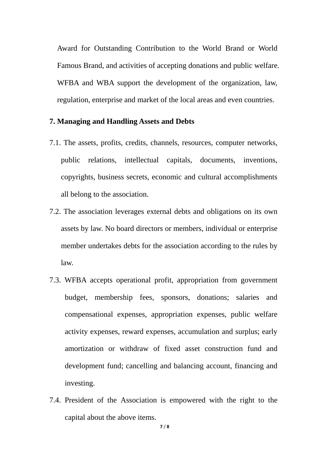Award for Outstanding Contribution to the World Brand or World Famous Brand, and activities of accepting donations and public welfare. WFBA and WBA support the development of the organization, law, regulation, enterprise and market of the local areas and even countries.

#### **7. Managing and Handling Assets and Debts**

- 7.1. The assets, profits, credits, channels, resources, computer networks, public relations, intellectual capitals, documents, inventions, copyrights, business secrets, economic and cultural accomplishments all belong to the association.
- 7.2. The association leverages external debts and obligations on its own assets by law. No board directors or members, individual or enterprise member undertakes debts for the association according to the rules by law.
- 7.3. WFBA accepts operational profit, appropriation from government budget, membership fees, sponsors, donations; salaries and compensational expenses, appropriation expenses, public welfare activity expenses, reward expenses, accumulation and surplus; early amortization or withdraw of fixed asset construction fund and development fund; cancelling and balancing account, financing and investing.
- 7.4. President of the Association is empowered with the right to the capital about the above items.